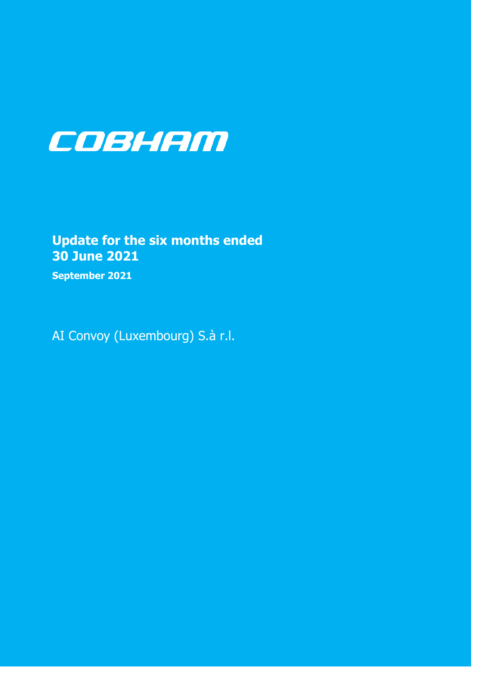

# **Update for the six months ended 30 June 2021**

September 2021

AI Convoy (Luxembourg) S.à r.l.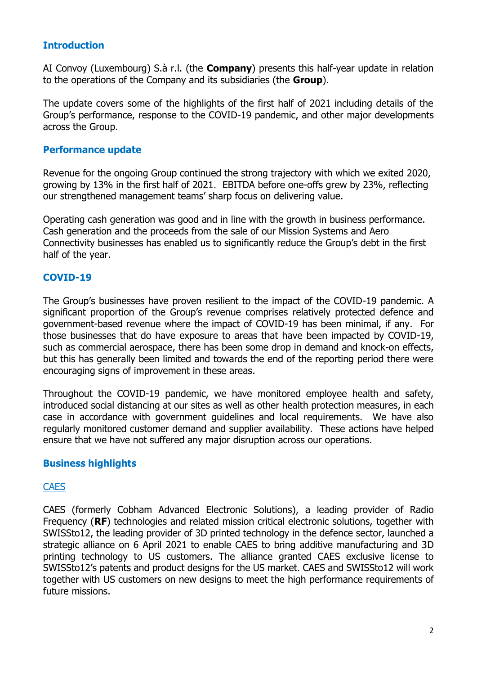# **Introduction**

AI Convoy (Luxembourg) S.à r.l. (the **Company**) presents this half-year update in relation to the operations of the Company and its subsidiaries (the **Group**).

The update covers some of the highlights of the first half of 2021 including details of the Group's performance, response to the COVID-19 pandemic, and other major developments across the Group.

#### **Performance update**

Revenue for the ongoing Group continued the strong trajectory with which we exited 2020, growing by 13% in the first half of 2021. EBITDA before one-offs grew by 23%, reflecting our strengthened management teams' sharp focus on delivering value.

Operating cash generation was good and in line with the growth in business performance. Cash generation and the proceeds from the sale of our Mission Systems and Aero Connectivity businesses has enabled us to significantly reduce the Group's debt in the first half of the year.

### **COVID-19**

The Group's businesses have proven resilient to the impact of the COVID-19 pandemic. A significant proportion of the Group's revenue comprises relatively protected defence and government-based revenue where the impact of COVID-19 has been minimal, if any. For those businesses that do have exposure to areas that have been impacted by COVID-19, such as commercial aerospace, there has been some drop in demand and knock-on effects, but this has generally been limited and towards the end of the reporting period there were encouraging signs of improvement in these areas.

Throughout the COVID-19 pandemic, we have monitored employee health and safety, introduced social distancing at our sites as well as other health protection measures, in each case in accordance with government guidelines and local requirements. We have also regularly monitored customer demand and supplier availability. These actions have helped ensure that we have not suffered any major disruption across our operations.

### **Business highlights**

### **CAES**

CAES (formerly Cobham Advanced Electronic Solutions), a leading provider of Radio Frequency (**RF**) technologies and related mission critical electronic solutions, together with SWISSto12, the leading provider of 3D printed technology in the defence sector, launched a strategic alliance on 6 April 2021 to enable CAES to bring additive manufacturing and 3D printing technology to US customers. The alliance granted CAES exclusive license to SWISSto12's patents and product designs for the US market. CAES and SWISSto12 will work together with US customers on new designs to meet the high performance requirements of future missions.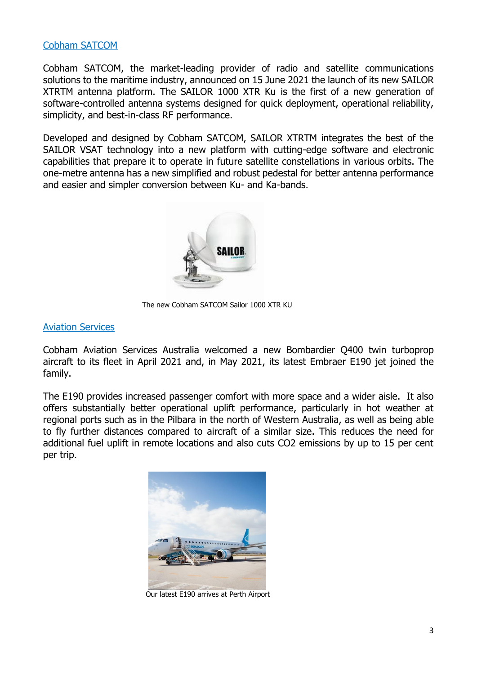#### Cobham SATCOM

Cobham SATCOM, the market-leading provider of radio and satellite communications solutions to the maritime industry, announced on 15 June 2021 the launch of its new SAILOR XTRTM antenna platform. The SAILOR 1000 XTR Ku is the first of a new generation of software-controlled antenna systems designed for quick deployment, operational reliability, simplicity, and best-in-class RF performance.

Developed and designed by Cobham SATCOM, SAILOR XTRTM integrates the best of the SAILOR VSAT technology into a new platform with cutting-edge software and electronic capabilities that prepare it to operate in future satellite constellations in various orbits. The one-metre antenna has a new simplified and robust pedestal for better antenna performance and easier and simpler conversion between Ku- and Ka-bands.



The new Cobham SATCOM Sailor 1000 XTR KU

#### Aviation Services

Cobham Aviation Services Australia welcomed a new Bombardier Q400 twin turboprop aircraft to its fleet in April 2021 and, in May 2021, its latest Embraer E190 jet joined the family.

The E190 provides increased passenger comfort with more space and a wider aisle. It also offers substantially better operational uplift performance, particularly in hot weather at regional ports such as in the Pilbara in the north of Western Australia, as well as being able to fly further distances compared to aircraft of a similar size. This reduces the need for additional fuel uplift in remote locations and also cuts CO2 emissions by up to 15 per cent per trip.



Our latest E190 arrives at Perth Airport